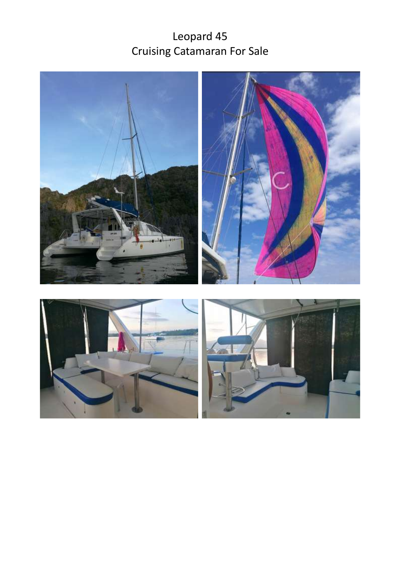## Leopard 45 Cruising Catamaran For Sale

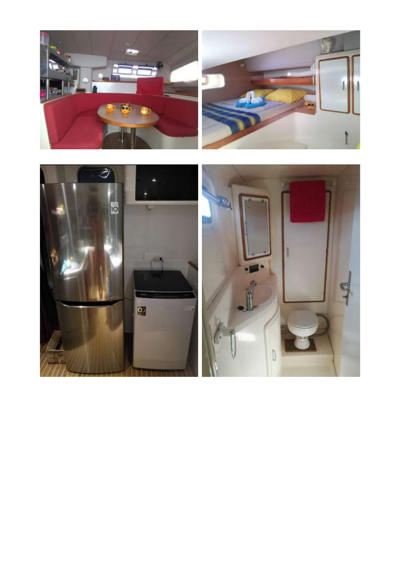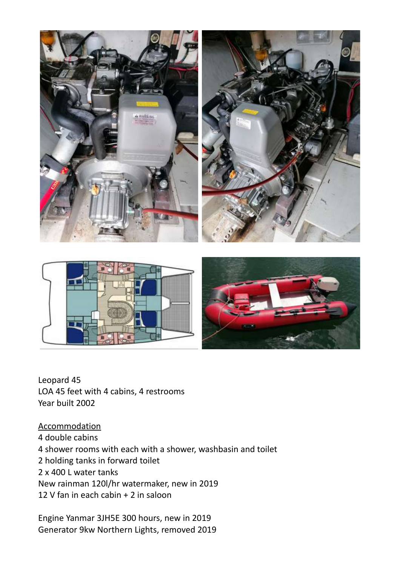



Leopard 45 LOA 45 feet with 4 cabins, 4 restrooms Year built 2002

Accommodation 4 double cabins 4 shower rooms with each with a shower, washbasin and toilet 2 holding tanks in forward toilet 2 x 400 L water tanks New rainman 120l/hr watermaker, new in 2019 12 V fan in each cabin + 2 in saloon

Engine Yanmar 3JH5E 300 hours, new in 2019 Generator 9kw Northern Lights, removed 2019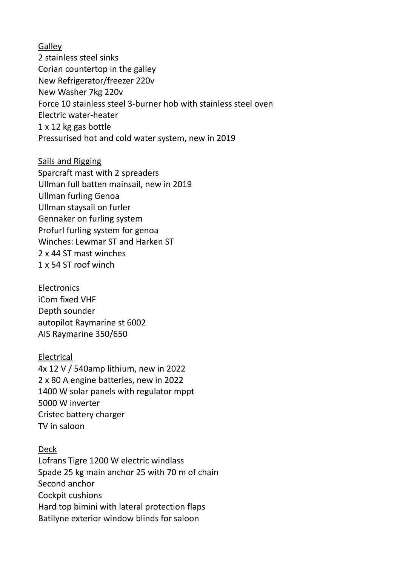**Galley** 2 stainless steel sinks Corian countertop in the galley New Refrigerator/freezer 220v New Washer 7kg 220v Force 10 stainless steel 3-burner hob with stainless steel oven Electric water-heater 1 x 12 kg gas bottle Pressurised hot and cold water system, new in 2019

Sails and Rigging Sparcraft mast with 2 spreaders Ullman full batten mainsail, new in 2019 Ullman furling Genoa Ullman staysail on furler Gennaker on furling system Profurl furling system for genoa Winches: Lewmar ST and Harken ST 2 x 44 ST mast winches 1 x 54 ST roof winch

**Electronics** iCom fixed VHF Depth sounder autopilot Raymarine st 6002 AIS Raymarine 350/650

Electrical 4x 12 V / 540amp lithium, new in 2022 2 x 80 A engine batteries, new in 2022 1400 W solar panels with regulator mppt 5000 W inverter Cristec battery charger TV in saloon

## Deck Lofrans Tigre 1200 W electric windlass Spade 25 kg main anchor 25 with 70 m of chain Second anchor Cockpit cushions Hard top bimini with lateral protection flaps Batilyne exterior window blinds for saloon